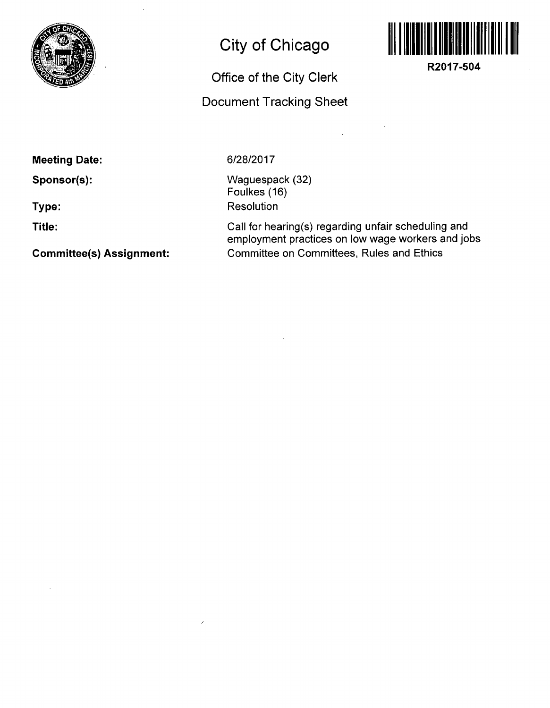

## **City of Chicago**

## **Office of the City Clerk**

## **Document Tracking Sheet**



**R2017-504** 

**Meeting Date:** 

**Sponsor(s):** 

**Type:** 

**Title:** 

**Committee(s) Assignment:** 

**6/28/2017** 

Waguespack (32) Foulkes (16) **Resolution** 

Call for hearing(s) regarding unfair scheduling and employment practices on low wage workers and jobs Committee on Committees, Rules and Ethics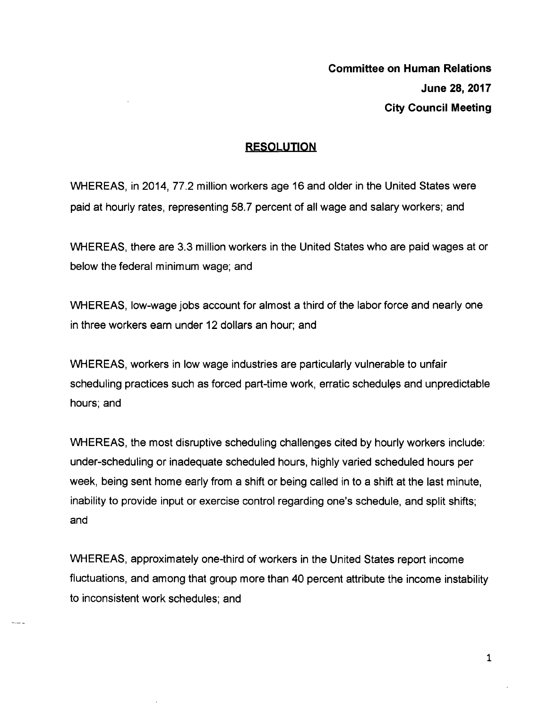## **RESQUUTIQN**

WHEREAS, in 2014, 77.2 million workers age 16 and older in the United States were paid at hourly rates, representing 58.7 percent of all wage and salary workers; and

WHEREAS, there are 3.3 million workers in the United States who are paid wages at or below the federal minimum wage; and

WHEREAS, low-wage jobs account for almost a third of the labor force and nearly one in three workers earn under 12 dollars an hour; and

WHEREAS, workers in low wage industries are particularly vulnerable to unfair scheduling practices such as forced part-time work, erratic schedules and unpredictable hours; and

WHEREAS, the most disruptive scheduling challenges cited by hourly workers include: under-scheduling or inadequate scheduled hours, highly varied scheduled hours per week, being sent home early from a shift or being called in to a shift at the last minute, inability to provide input or exercise control regarding one's schedule, and split shifts; and

WHEREAS, approximately one-third of workers in the United States report income fluctuations, and among that group more than 40 percent attribute the income instability to inconsistent work schedules; and

 $\mathbf 1$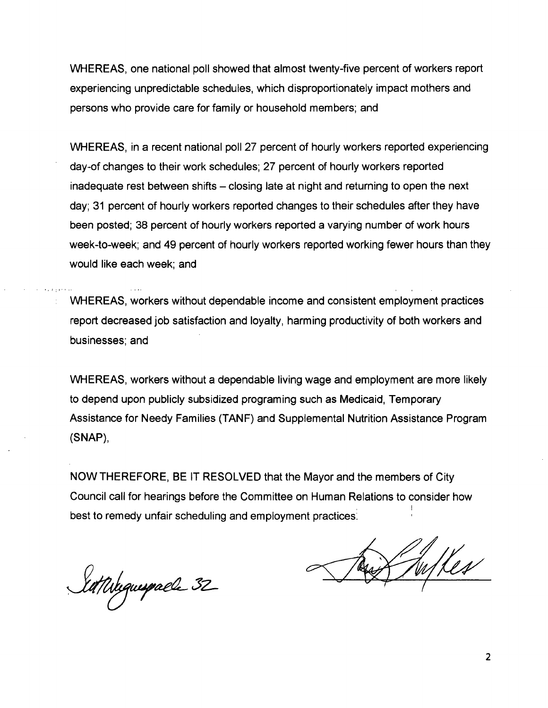WHEREAS, one national poll showed that almost twenty-five percent of workers report experiencing unpredictable schedules, which disproportionately impact mothers and persons who provide care for family or household members; and

WHEREAS, in a recent national poll 27 percent of hourly workers reported experiencing day-of changes to their work schedules; 27 percent of hourly workers reported inadequate rest between shifts – closing late at night and returning to open the next day; 31 percent of hourly workers reported changes to their schedules after they have been posted; 38 percent of hourly workers reported a varying number of work hours week-to-week; and 49 percent of hourly workers reported working fewer hours than they would like each week; and

WHEREAS, workers without dependable income and consistent employment practices report decreased job satisfaction and loyalty, harming productivity of both workers and businesses; and

WHEREAS, workers without a dependable living wage and employment are more likely to depend upon publicly subsidized programing such as Medicaid, Temporary Assistance for Needy Families (TANF) and Supplemental Nutrition Assistance Program (SNAP),

NOW THEREFORE, BE IT RESOLVED that the Mayor and the members of City Council call for hearings before the Committee on Human Relations to consider how best to remedy unfair scheduling and employment practices;

Sattishguespalle 32